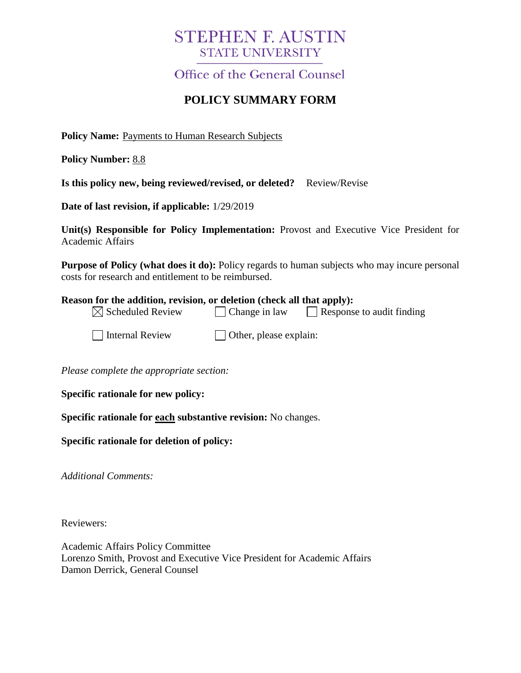# **STEPHEN F. AUSTIN STATE UNIVERSITY**

**Office of the General Counsel** 

## **POLICY SUMMARY FORM**

**Policy Name:** Payments to Human Research Subjects

**Policy Number:** 8.8

| Is this policy new, being reviewed/revised, or deleted? Review/Revise |  |  |
|-----------------------------------------------------------------------|--|--|
|                                                                       |  |  |

**Date of last revision, if applicable:** 1/29/2019

**Unit(s) Responsible for Policy Implementation:** Provost and Executive Vice President for Academic Affairs

**Purpose of Policy (what does it do):** Policy regards to human subjects who may incure personal costs for research and entitlement to be reimbursed.

#### **Reason for the addition, revision, or deletion (check all that apply):**

| $\boxtimes$ Scheduled Review | $\Box$ Change in law | $\Box$ Response to audit finding |  |
|------------------------------|----------------------|----------------------------------|--|
|                              |                      |                                  |  |

 $\Box$  Internal Review  $\Box$  Other, please explain:

*Please complete the appropriate section:*

**Specific rationale for new policy:**

**Specific rationale for each substantive revision:** No changes.

#### **Specific rationale for deletion of policy:**

*Additional Comments:*

Reviewers:

Academic Affairs Policy Committee Lorenzo Smith, Provost and Executive Vice President for Academic Affairs Damon Derrick, General Counsel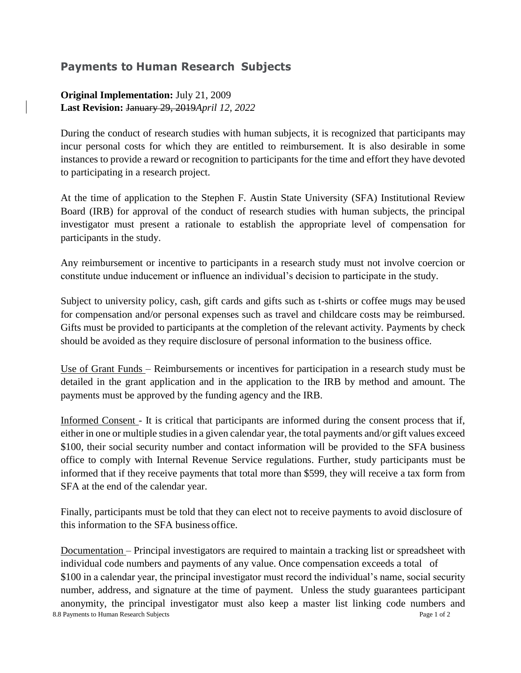### **Payments to Human Research Subjects**

### **Original Implementation:** July 21, 2009 **Last Revision:** January 29, 2019*April 12, 2022*

During the conduct of research studies with human subjects, it is recognized that participants may incur personal costs for which they are entitled to reimbursement. It is also desirable in some instances to provide a reward or recognition to participants for the time and effort they have devoted to participating in a research project.

At the time of application to the Stephen F. Austin State University (SFA) Institutional Review Board (IRB) for approval of the conduct of research studies with human subjects, the principal investigator must present a rationale to establish the appropriate level of compensation for participants in the study.

Any reimbursement or incentive to participants in a research study must not involve coercion or constitute undue inducement or influence an individual's decision to participate in the study.

Subject to university policy, cash, gift cards and gifts such as t-shirts or coffee mugs may beused for compensation and/or personal expenses such as travel and childcare costs may be reimbursed. Gifts must be provided to participants at the completion of the relevant activity. Payments by check should be avoided as they require disclosure of personal information to the business office.

Use of Grant Funds – Reimbursements or incentives for participation in a research study must be detailed in the grant application and in the application to the IRB by method and amount. The payments must be approved by the funding agency and the IRB.

Informed Consent - It is critical that participants are informed during the consent process that if, either in one or multiple studies in a given calendar year, the total payments and/or gift values exceed \$100, their social security number and contact information will be provided to the SFA business office to comply with Internal Revenue Service regulations. Further, study participants must be informed that if they receive payments that total more than \$599, they will receive a tax form from SFA at the end of the calendar year.

Finally, participants must be told that they can elect not to receive payments to avoid disclosure of this information to the SFA business office.

8.8 Payments to Human Research Subjects Page 1 of 2 Documentation – Principal investigators are required to maintain a tracking list or spreadsheet with individual code numbers and payments of any value. Once compensation exceeds a total of \$100 in a calendar year, the principal investigator must record the individual's name, social security number, address, and signature at the time of payment. Unless the study guarantees participant anonymity, the principal investigator must also keep a master list linking code numbers and